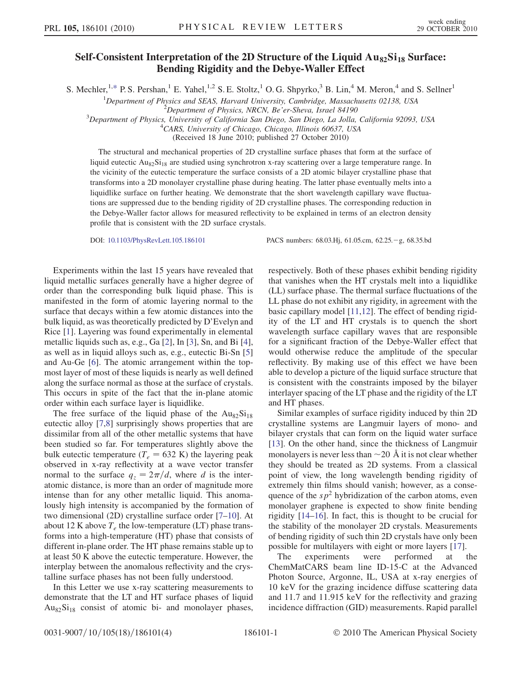## Self-Consistent Interpretation of the 2D Structure of the Liquid  $\text{Au}_{82}\text{Si}_{18}$  Surface: Bending Rigidity and the Debye-Waller Effect

<span id="page-0-0"></span>S. Mechler,<sup>1[,\\*](#page-3-0)</sup> P. S. Pershan,<sup>1</sup> E. Yahel,<sup>1,2</sup> S. E. Stoltz,<sup>1</sup> O. G. Shpyrko,<sup>3</sup> B. Lin,<sup>4</sup> M. Meron,<sup>4</sup> and S. Sellner<sup>1</sup>

<sup>1</sup>Department of Physics and SEAS, Harvard University, Cambridge, Massachusetts 02138, USA<br><sup>2</sup>Department of Physics NPCN, Ba'er Shava, Israel 84100  $2$ Department of Physics, NRCN, Be'er-Sheva, Israel 84190

 ${}^{3}$ Department of Physics, University of California San Diego, San Diego, La Jolla, California 92093, USA

<sup>4</sup>CARS, University of Chicago, Chicago, Illinois 60637, USA

(Received 18 June 2010; published 27 October 2010)

The structural and mechanical properties of 2D crystalline surface phases that form at the surface of liquid eutectic  $Au_{82}Si_{18}$  are studied using synchrotron x-ray scattering over a large temperature range. In the vicinity of the eutectic temperature the surface consists of a 2D atomic bilayer crystalline phase that transforms into a 2D monolayer crystalline phase during heating. The latter phase eventually melts into a liquidlike surface on further heating. We demonstrate that the short wavelength capillary wave fluctuations are suppressed due to the bending rigidity of 2D crystalline phases. The corresponding reduction in the Debye-Waller factor allows for measured reflectivity to be explained in terms of an electron density profile that is consistent with the 2D surface crystals.

DOI: [10.1103/PhysRevLett.105.186101](http://dx.doi.org/10.1103/PhysRevLett.105.186101) PACS numbers: 68.03.Hj, 61.05.cm, 62.25. - g, 68.35.bd

Experiments within the last 15 years have revealed that liquid metallic surfaces generally have a higher degree of order than the corresponding bulk liquid phase. This is manifested in the form of atomic layering normal to the surface that decays within a few atomic distances into the bulk liquid, as was theoretically predicted by D'Evelyn and Rice [[1\]](#page-3-1). Layering was found experimentally in elemental metallic liquids such as, e.g., Ga [[2\]](#page-3-2), In [\[3](#page-3-3)], Sn, and Bi [[4\]](#page-3-4), as well as in liquid alloys such as, e.g., eutectic Bi-Sn [\[5\]](#page-3-5) and Au-Ge [\[6](#page-3-6)]. The atomic arrangement within the topmost layer of most of these liquids is nearly as well defined along the surface normal as those at the surface of crystals. This occurs in spite of the fact that the in-plane atomic order within each surface layer is liquidlike.

The free surface of the liquid phase of the  $Au_{82}Si_{18}$ eutectic alloy [\[7,](#page-3-7)[8](#page-3-8)] surprisingly shows properties that are dissimilar from all of the other metallic systems that have been studied so far. For temperatures slightly above the bulk eutectic temperature ( $T_e = 632$  K) the layering peak observed in x-ray reflectivity at a wave vector transfer normal to the surface  $q_z = 2\pi/d$ , where d is the interatomic distance, is more than an order of magnitude more intense than for any other metallic liquid. This anomalously high intensity is accompanied by the formation of two dimensional (2D) crystalline surface order [[7–](#page-3-7)[10](#page-3-9)]. At about 12 K above  $T_e$  the low-temperature (LT) phase transforms into a high-temperature (HT) phase that consists of different in-plane order. The HT phase remains stable up to at least 50 K above the eutectic temperature. However, the interplay between the anomalous reflectivity and the crystalline surface phases has not been fully understood.

In this Letter we use x-ray scattering measurements to demonstrate that the LT and HT surface phases of liquid  $Au_{82}Si_{18}$  consist of atomic bi- and monolayer phases, respectively. Both of these phases exhibit bending rigidity that vanishes when the HT crystals melt into a liquidlike (LL) surface phase. The thermal surface fluctuations of the LL phase do not exhibit any rigidity, in agreement with the basic capillary model [\[11,](#page-3-10)[12\]](#page-3-11). The effect of bending rigidity of the LT and HT crystals is to quench the short wavelength surface capillary waves that are responsible for a significant fraction of the Debye-Waller effect that would otherwise reduce the amplitude of the specular reflectivity. By making use of this effect we have been able to develop a picture of the liquid surface structure that is consistent with the constraints imposed by the bilayer interlayer spacing of the LT phase and the rigidity of the LT and HT phases.

Similar examples of surface rigidity induced by thin 2D crystalline systems are Langmuir layers of mono- and bilayer crystals that can form on the liquid water surface [\[13\]](#page-3-12). On the other hand, since the thickness of Langmuir monolayers is never less than  $\sim$  20 Å it is not clear whether they should be treated as 2D systems. From a classical point of view, the long wavelength bending rigidity of extremely thin films should vanish; however, as a consequence of the  $sp^2$  hybridization of the carbon atoms, even monolayer graphene is expected to show finite bending rigidity [\[14–](#page-3-13)[16](#page-3-14)]. In fact, this is thought to be crucial for the stability of the monolayer 2D crystals. Measurements of bending rigidity of such thin 2D crystals have only been possible for multilayers with eight or more layers [\[17\]](#page-3-15).

The experiments were performed at the ChemMatCARS beam line ID-15-C at the Advanced Photon Source, Argonne, IL, USA at x-ray energies of 10 keV for the grazing incidence diffuse scattering data and 11.7 and 11.915 keV for the reflectivity and grazing incidence diffraction (GID) measurements. Rapid parallel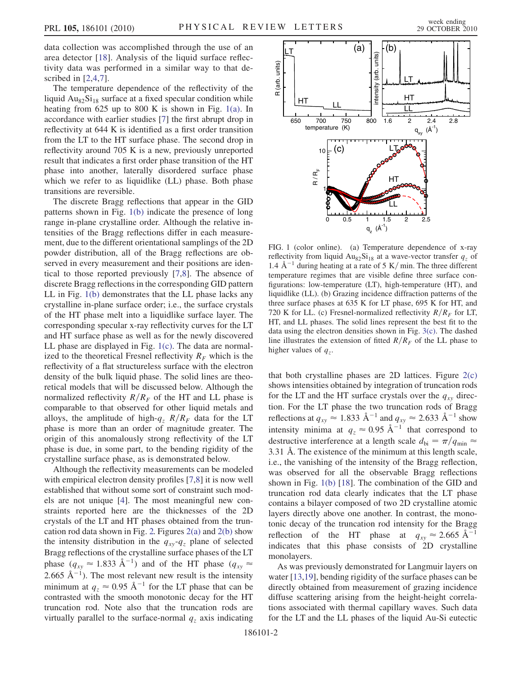data collection was accomplished through the use of an area detector [\[18](#page-3-16)]. Analysis of the liquid surface reflectivity data was performed in a similar way to that de-scribed in [[2](#page-3-2),[4](#page-3-4),[7](#page-3-7)].

The temperature dependence of the reflectivity of the liquid  $Au_{82}Si_{18}$  surface at a fixed specular condition while heating from  $625$  up to  $800$  K is shown in Fig. [1\(a\).](#page-1-0) In accordance with earlier studies [[7\]](#page-3-7) the first abrupt drop in reflectivity at 644 K is identified as a first order transition from the LT to the HT surface phase. The second drop in reflectivity around 705 K is a new, previously unreported result that indicates a first order phase transition of the HT phase into another, laterally disordered surface phase which we refer to as liquidlike (LL) phase. Both phase transitions are reversible.

The discrete Bragg reflections that appear in the GID patterns shown in Fig. [1\(b\)](#page-1-0) indicate the presence of long range in-plane crystalline order. Although the relative intensities of the Bragg reflections differ in each measurement, due to the different orientational samplings of the 2D powder distribution, all of the Bragg reflections are observed in every measurement and their positions are identical to those reported previously [[7](#page-3-7),[8\]](#page-3-8). The absence of discrete Bragg reflections in the corresponding GID pattern LL in Fig. [1\(b\)](#page-1-0) demonstrates that the LL phase lacks any crystalline in-plane surface order; i.e., the surface crystals of the HT phase melt into a liquidlike surface layer. The corresponding specular x-ray reflectivity curves for the LT and HT surface phase as well as for the newly discovered LL phase are displayed in Fig. [1\(c\).](#page-1-0) The data are normalized to the theoretical Fresnel reflectivity  $R_F$  which is the reflectivity of a flat structureless surface with the electron density of the bulk liquid phase. The solid lines are theoretical models that will be discussed below. Although the normalized reflectivity  $R/R_F$  of the HT and LL phase is comparable to that observed for other liquid metals and alloys, the amplitude of high- $q_z$  R/R<sub>F</sub> data for the LT phase is more than an order of magnitude greater. The origin of this anomalously strong reflectivity of the LT phase is due, in some part, to the bending rigidity of the crystalline surface phase, as is demonstrated below.

Although the reflectivity measurements can be modeled with empirical electron density profiles [[7,](#page-3-7)[8\]](#page-3-8) it is now well established that without some sort of constraint such models are not unique [\[4](#page-3-4)]. The most meaningful new constraints reported here are the thicknesses of the 2D crystals of the LT and HT phases obtained from the trun-cation rod data shown in Fig. [2.](#page-2-0) Figures  $2(a)$  and  $2(b)$  show the intensity distribution in the  $q_{xy} - q_z$  plane of selected Bragg reflections of the crystalline surface phases of the LT phase  $(q_{xy} \approx 1.833 \text{ Å}^{-1})$  and of the HT phase  $(q_{xy} \approx$ 2.665  $\AA^{-1}$ ). The most relevant new result is the intensity minimum at  $q_z \approx 0.95 \text{ Å}^{-1}$  for the LT phase that can be contrasted with the smooth monotonic decay for the HT truncation rod. Note also that the truncation rods are virtually parallel to the surface-normal  $q<sub>z</sub>$  axis indicating



<span id="page-1-0"></span>FIG. 1 (color online). (a) Temperature dependence of x-ray reflectivity from liquid  $Au_{82}Si_{18}$  at a wave-vector transfer  $q_z$  of 1.4 Å<sup> $-1$ </sup> during heating at a rate of 5 K/min. The three different temperature regimes that are visible define three surface configurations: low-temperature (LT), high-temperature (HT), and liquidlike (LL). (b) Grazing incidence diffraction patterns of the three surface phases at 635 K for LT phase, 695 K for HT, and 720 K for LL. (c) Fresnel-normalized reflectivity  $R/R<sub>F</sub>$  for LT, HT, and LL phases. The solid lines represent the best fit to the data using the electron densities shown in Fig. [3\(c\)](#page-2-2). The dashed line illustrates the extension of fitted  $R/R_F$  of the LL phase to higher values of  $q_z$ .

that both crystalline phases are 2D lattices. Figure  $2(c)$ shows intensities obtained by integration of truncation rods for the LT and the HT surface crystals over the  $q_{xy}$  direction. For the LT phase the two truncation rods of Bragg reflections at  $q_{xy} \approx 1.833 \text{ Å}^{-1}$  and  $q_{xy} \approx 2.633 \text{ Å}^{-1}$  show intensity minima at  $q_z \approx 0.95 \text{ Å}^{-1}$  that correspond to destructive interference at a length scale  $d_{\text{bi}} = \pi / q_{\text{min}} \approx$ 3.31 Å. The existence of the minimum at this length scale, i.e., the vanishing of the intensity of the Bragg reflection, was observed for all the observable Bragg reflections shown in Fig. [1\(b\)](#page-1-0) [\[18\]](#page-3-16). The combination of the GID and truncation rod data clearly indicates that the LT phase contains a bilayer composed of two 2D crystalline atomic layers directly above one another. In contrast, the monotonic decay of the truncation rod intensity for the Bragg reflection of the HT phase at  $q_{xy} \approx 2.665 \text{ Å}^{-1}$ indicates that this phase consists of 2D crystalline monolayers.

As was previously demonstrated for Langmuir layers on water [[13](#page-3-12)[,19](#page-3-17)], bending rigidity of the surface phases can be directly obtained from measurement of grazing incidence diffuse scattering arising from the height-height correlations associated with thermal capillary waves. Such data for the LT and the LL phases of the liquid Au-Si eutectic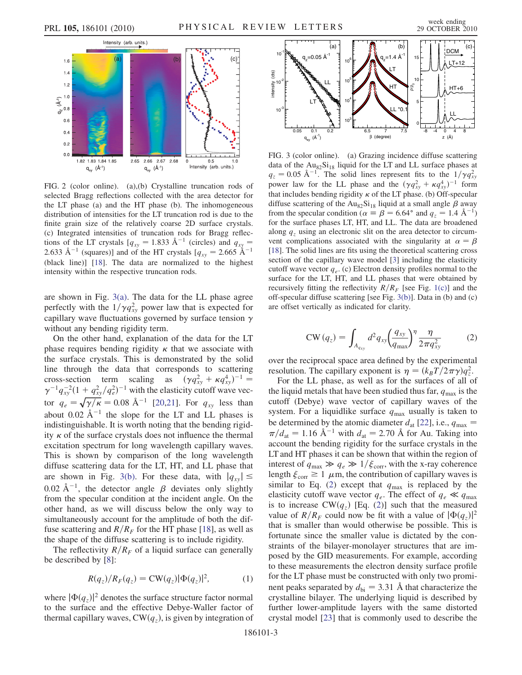<span id="page-2-0"></span>

<span id="page-2-1"></span>FIG. 2 (color online). (a),(b) Crystalline truncation rods of selected Bragg reflections collected with the area detector for the LT phase (a) and the HT phase (b). The inhomogeneous distribution of intensities for the LT truncation rod is due to the finite grain size of the relatively coarse 2D surface crystals. (c) Integrated intensities of truncation rods for Bragg reflections of the LT crystals  $[q_{xy} = 1.833 \text{ Å}^{-1}$  (circles) and  $q_{xy} =$ 2.633 Å<sup>-1</sup> (squares)] and of the HT crystals  $[q_{xy} = 2.665 \text{ Å}^{-1}]$ (black line)] [[18](#page-3-16)]. The data are normalized to the highest intensity within the respective truncation rods.

are shown in Fig. [3\(a\).](#page-2-2) The data for the LL phase agree perfectly with the  $1/\gamma q_{xy}^2$  power law that is expected for capillary wave fluctuations governed by surface tension  $\gamma$ without any bending rigidity term.

On the other hand, explanation of the data for the LT phase requires bending rigidity  $\kappa$  that we associate with the surface crystals. This is demonstrated by the solid line through the data that corresponds to scattering cross-section term scaling as  $(\gamma q_{xy}^2 + \kappa q_{xy}^4)^{-1} = \gamma^{-1} q_{xy}^{-2} (1 + q_{xy}^2 / q_e^2)^{-1}$  with the elasticity cutoff wave vec- $\gamma q_{xy}(1 + q_{xy}/q_e)$  with the elasticity cutoff wave vector  $q_e = \sqrt{\gamma/\kappa} = 0.08 \text{ Å}^{-1}$  [\[20](#page-3-18)[,21\]](#page-3-19). For  $q_{xy}$  less than about 0.02  $\AA^{-1}$  the slope for the LT and LL phases is indistinguishable. It is worth noting that the bending rigidity  $\kappa$  of the surface crystals does not influence the thermal excitation spectrum for long wavelength capillary waves. This is shown by comparison of the long wavelength diffuse scattering data for the LT, HT, and LL phase that are shown in Fig. [3\(b\)](#page-2-2). For these data, with  $|q_{xy}| \leq$ 0.02  $\AA^{-1}$ , the detector angle  $\beta$  deviates only slightly from the specular condition at the incident angle. On the other hand, as we will discuss below the only way to simultaneously account for the amplitude of both the diffuse scattering and  $R/R_F$  for the HT phase [\[18\]](#page-3-16), as well as the shape of the diffuse scattering is to include rigidity.

The reflectivity  $R/R_F$  of a liquid surface can generally be described by [\[8](#page-3-8)]:

$$
R(q_z)/R_F(q_z) = \text{CW}(q_z)|\Phi(q_z)|^2, \tag{1}
$$

where  $|\Phi(q_z)|^2$  denotes the surface structure factor normal to the surface and the effective Debye-Waller factor of thermal capillary waves,  $CW(q_z)$ , is given by integration of



<span id="page-2-2"></span>FIG. 3 (color online). (a) Grazing incidence diffuse scattering data of the  $Au_{82}Si_{18}$  liquid for the LT and LL surface phases at  $q_z = 0.05 \text{ Å}^{-1}$ . The solid lines represent fits to the  $1/\gamma q_{xy}^2$ power law for the LL phase and the  $(\gamma q_{xy}^2 + \kappa q_{xy}^4)^{-1}$  form that includes bending rigidity  $\kappa$  of the LT phase. (b) Off-specular diffuse scattering of the  $Au_{82}Si_{18}$  liquid at a small angle  $\beta$  away from the specular condition ( $\alpha = \beta = 6.64^{\circ}$  and  $q_z = 1.4 \text{ Å}^{-1}$ ) for the surface phases LT, HT, and LL. The data are broadened along  $q<sub>z</sub>$  using an electronic slit on the area detector to circumvent complications associated with the singularity at  $\alpha = \beta$ [\[18\]](#page-3-16). The solid lines are fits using the theoretical scattering cross section of the capillary wave model [[3](#page-3-3)] including the elasticity cutoff wave vector  $q_e$ . (c) Electron density profiles normal to the surface for the LT, HT, and LL phases that were obtained by recursively fitting the reflectivity  $R/R_F$  [see Fig. [1\(c\)\]](#page-1-0) and the off-specular diffuse scattering [see Fig. [3\(b\)\]](#page-2-2). Data in (b) and (c) are offset vertically as indicated for clarity.

$$
CW(q_z) = \int_{A_{q_{xy}}} d^2 q_{xy} \left(\frac{q_{xy}}{q_{\text{max}}}\right)^{\eta} \frac{\eta}{2\pi q_{xy}^2}
$$
 (2)

<span id="page-2-3"></span>over the reciprocal space area defined by the experimental resolution. The capillary exponent is  $\eta = (k_B T/2\pi \gamma)q_z^2$ .

For the LL phase, as well as for the surfaces of all of the liquid metals that have been studied thus far,  $q_{\text{max}}$  is the cutoff (Debye) wave vector of capillary waves of the system. For a liquidlike surface  $q_{\text{max}}$  usually is taken to be determined by the atomic diameter  $d_{\text{at}}$  [[22](#page-3-20)], i.e.,  $q_{\text{max}} =$  $\pi/d_{\text{at}} = 1.16 \text{ Å}^{-1}$  with  $d_{\text{at}} = 2.70 \text{ Å}$  for Au. Taking into account the bending rigidity for the surface crystals in the LT and HT phases it can be shown that within the region of interest of  $q_{\text{max}} \gg q_e \gg 1/\xi_{\text{corr}}$ , with the x-ray coherence length  $\xi_{\text{corr}} \ge 1$   $\mu$ m, the contribution of capillary waves is similar to Eq. [\(2](#page-2-3)) except that  $q_{\text{max}}$  is replaced by the elasticity cutoff wave vector  $q_e$ . The effect of  $q_e \ll q_{\text{max}}$ is to increase  $CW(q_z)$  [Eq. ([2\)](#page-2-3)] such that the measured value of  $R/R_F$  could now be fit with a value of  $|\Phi(q_z)|^2$ that is smaller than would otherwise be possible. This is fortunate since the smaller value is dictated by the constraints of the bilayer-monolayer structures that are imposed by the GID measurements. For example, according to these measurements the electron density surface profile for the LT phase must be constructed with only two prominent peaks separated by  $d_{bi} = 3.31 \text{ Å}$  that characterize the crystalline bilayer. The underlying liquid is described by further lower-amplitude layers with the same distorted crystal model [[23\]](#page-3-21) that is commonly used to describe the